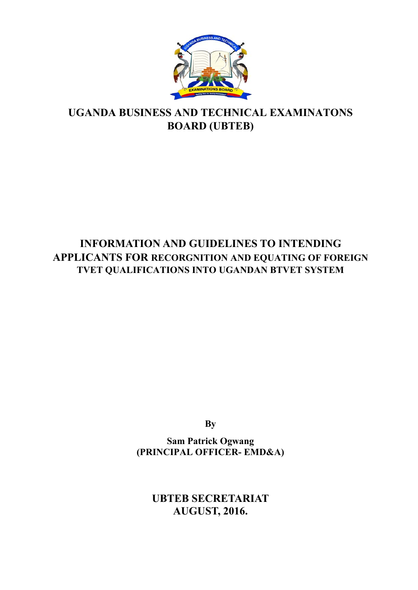

# **UGANDA BUSINESS AND TECHNICAL EXAMINATONS BOARD (UBTEB)**

# **INFORMATION AND GUIDELINES TO INTENDING APPLICANTS FOR RECORGNITION AND EQUATING OF FOREIGN TVET QUALIFICATIONS INTO UGANDAN BTVET SYSTEM**

**By** 

**Sam Patrick Ogwang (PRINCIPAL OFFICER- EMD&A)** 

> **UBTEB SECRETARIAT AUGUST, 2016.**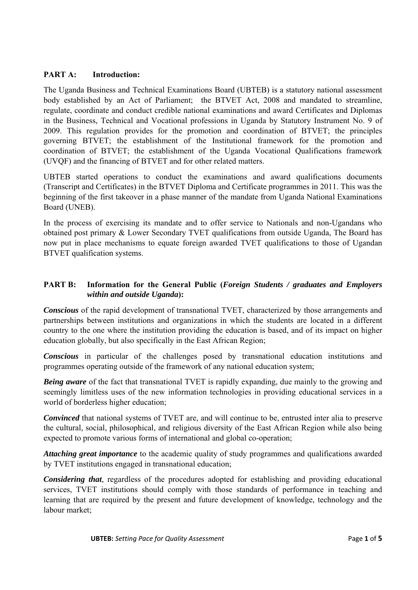#### **PART A: Introduction:**

The Uganda Business and Technical Examinations Board (UBTEB) is a statutory national assessment body established by an Act of Parliament; the BTVET Act, 2008 and mandated to streamline, regulate, coordinate and conduct credible national examinations and award Certificates and Diplomas in the Business, Technical and Vocational professions in Uganda by Statutory Instrument No. 9 of 2009. This regulation provides for the promotion and coordination of BTVET; the principles governing BTVET; the establishment of the Institutional framework for the promotion and coordination of BTVET; the establishment of the Uganda Vocational Qualifications framework (UVQF) and the financing of BTVET and for other related matters.

UBTEB started operations to conduct the examinations and award qualifications documents (Transcript and Certificates) in the BTVET Diploma and Certificate programmes in 2011. This was the beginning of the first takeover in a phase manner of the mandate from Uganda National Examinations Board (UNEB).

In the process of exercising its mandate and to offer service to Nationals and non-Ugandans who obtained post primary & Lower Secondary TVET qualifications from outside Uganda, The Board has now put in place mechanisms to equate foreign awarded TVET qualifications to those of Ugandan BTVET qualification systems.

## **PART B: Information for the General Public (***Foreign Students / graduates and Employers within and outside Uganda***):**

*Conscious* of the rapid development of transnational TVET, characterized by those arrangements and partnerships between institutions and organizations in which the students are located in a different country to the one where the institution providing the education is based, and of its impact on higher education globally, but also specifically in the East African Region;

*Conscious* in particular of the challenges posed by transnational education institutions and programmes operating outside of the framework of any national education system;

*Being aware* of the fact that transnational TVET is rapidly expanding, due mainly to the growing and seemingly limitless uses of the new information technologies in providing educational services in a world of borderless higher education;

*Convinced* that national systems of TVET are, and will continue to be, entrusted inter alia to preserve the cultural, social, philosophical, and religious diversity of the East African Region while also being expected to promote various forms of international and global co-operation;

*Attaching great importance* to the academic quality of study programmes and qualifications awarded by TVET institutions engaged in transnational education;

*Considering that*, regardless of the procedures adopted for establishing and providing educational services, TVET institutions should comply with those standards of performance in teaching and learning that are required by the present and future development of knowledge, technology and the labour market;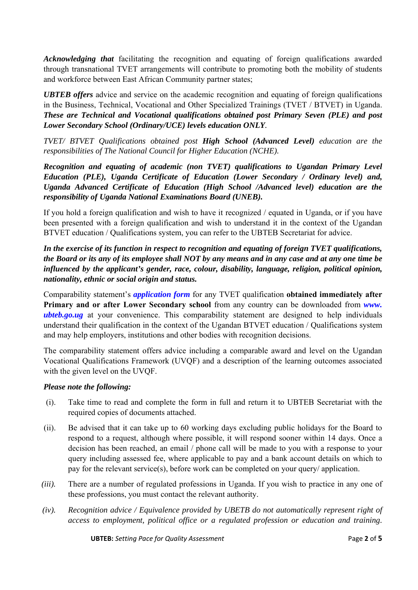*Acknowledging that* facilitating the recognition and equating of foreign qualifications awarded through transnational TVET arrangements will contribute to promoting both the mobility of students and workforce between East African Community partner states;

*UBTEB offers* advice and service on the academic recognition and equating of foreign qualifications in the Business, Technical, Vocational and Other Specialized Trainings (TVET / BTVET) in Uganda. *These are Technical and Vocational qualifications obtained post Primary Seven (PLE) and post Lower Secondary School (Ordinary/UCE) levels education ONLY.* 

*TVET/ BTVET Qualifications obtained post High School (Advanced Level) education are the responsibilities of The National Council for Higher Education (NCHE).* 

*Recognition and equating of academic (non TVET) qualifications to Ugandan Primary Level Education (PLE), Uganda Certificate of Education (Lower Secondary / Ordinary level) and, Uganda Advanced Certificate of Education (High School /Advanced level) education are the responsibility of Uganda National Examinations Board (UNEB).* 

If you hold a foreign qualification and wish to have it recognized / equated in Uganda, or if you have been presented with a foreign qualification and wish to understand it in the context of the Ugandan BTVET education / Qualifications system, you can refer to the UBTEB Secretariat for advice.

## *In the exercise of its function in respect to recognition and equating of foreign TVET qualifications, the Board or its any of its employee shall NOT by any means and in any case and at any one time be influenced by the applicant's gender, race, colour, disability, language, religion, political opinion, nationality, ethnic or social origin and status.*

Comparability statement's *application form* for any TVET qualification **obtained immediately after Primary and or after Lower Secondary school** from any country can be downloaded from *www. ubteb.go.ug* at your convenience. This comparability statement are designed to help individuals understand their qualification in the context of the Ugandan BTVET education / Qualifications system and may help employers, institutions and other bodies with recognition decisions.

The comparability statement offers advice including a comparable award and level on the Ugandan Vocational Qualifications Framework (UVQF) and a description of the learning outcomes associated with the given level on the UVQF.

### *Please note the following:*

- (i). Take time to read and complete the form in full and return it to UBTEB Secretariat with the required copies of documents attached.
- (ii). Be advised that it can take up to 60 working days excluding public holidays for the Board to respond to a request, although where possible, it will respond sooner within 14 days. Once a decision has been reached, an email / phone call will be made to you with a response to your query including assessed fee, where applicable to pay and a bank account details on which to pay for the relevant service(s), before work can be completed on your query/ application.
- *(iii).* There are a number of regulated professions in Uganda. If you wish to practice in any one of these professions, you must contact the relevant authority.
- *(iv). Recognition advice / Equivalence provided by UBETB do not automatically represent right of access to employment, political office or a regulated profession or education and training.*

**UBTEB:** *Setting Pace for Quality Assessment* Page **2** of **5**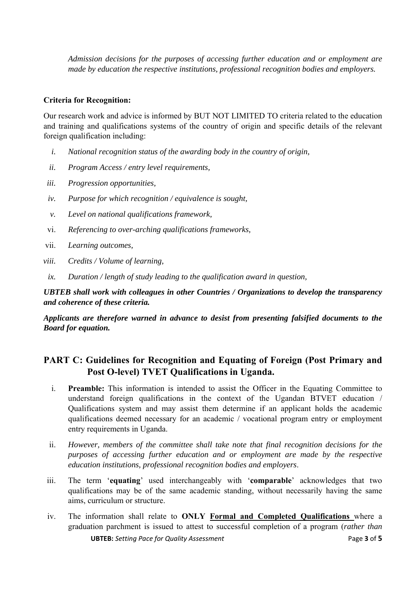*Admission decisions for the purposes of accessing further education and or employment are made by education the respective institutions, professional recognition bodies and employers.* 

#### **Criteria for Recognition:**

Our research work and advice is informed by BUT NOT LIMITED TO criteria related to the education and training and qualifications systems of the country of origin and specific details of the relevant foreign qualification including:

- *i. National recognition status of the awarding body in the country of origin,*
- *ii. Program Access / entry level requirements,*
- *iii. Progression opportunities,*
- *iv. Purpose for which recognition / equivalence is sought,*
- *v. Level on national qualifications framework,*
- vi. *Referencing to over-arching qualifications frameworks,*
- vii. *Learning outcomes,*
- *viii. Credits / Volume of learning,*
- *ix. Duration / length of study leading to the qualification award in question,*

*UBTEB shall work with colleagues in other Countries / Organizations to develop the transparency and coherence of these criteria.* 

*Applicants are therefore warned in advance to desist from presenting falsified documents to the Board for equation.* 

# **PART C: Guidelines for Recognition and Equating of Foreign (Post Primary and Post O-level) TVET Qualifications in Uganda.**

- i. **Preamble:** This information is intended to assist the Officer in the Equating Committee to understand foreign qualifications in the context of the Ugandan BTVET education / Qualifications system and may assist them determine if an applicant holds the academic qualifications deemed necessary for an academic / vocational program entry or employment entry requirements in Uganda.
- ii. *However, members of the committee shall take note that final recognition decisions for the purposes of accessing further education and or employment are made by the respective education institutions, professional recognition bodies and employers*.
- iii. The term '**equating**' used interchangeably with '**comparable**' acknowledges that two qualifications may be of the same academic standing, without necessarily having the same aims, curriculum or structure.
- **UBTEB:** *Setting Pace for Quality Assessment* Page **3** of **5** iv. The information shall relate to **ONLY Formal and Completed Qualifications** where a graduation parchment is issued to attest to successful completion of a program (*rather than*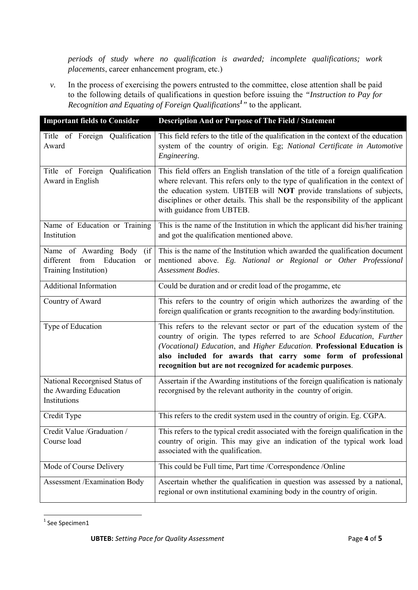*periods of study where no qualification is awarded; incomplete qualifications; work placements*, career enhancement program, etc.)

*v.* In the process of exercising the powers entrusted to the committee, close attention shall be paid to the following details of qualifications in question before issuing the *"Instruction to Pay for Recognition and Equating of Foreign Qualifications<sup>1</sup> "* to the applicant*.* 

| <b>Important fields to Consider</b>                                                          | <b>Description And or Purpose of The Field / Statement</b>                                                                                                                                                                                                                                                                                                    |
|----------------------------------------------------------------------------------------------|---------------------------------------------------------------------------------------------------------------------------------------------------------------------------------------------------------------------------------------------------------------------------------------------------------------------------------------------------------------|
| Title of Foreign Qualification<br>Award                                                      | This field refers to the title of the qualification in the context of the education<br>system of the country of origin. Eg; National Certificate in Automotive<br>Engineering.                                                                                                                                                                                |
| Title of Foreign Qualification<br>Award in English                                           | This field offers an English translation of the title of a foreign qualification<br>where relevant. This refers only to the type of qualification in the context of<br>the education system. UBTEB will NOT provide translations of subjects,<br>disciplines or other details. This shall be the responsibility of the applicant<br>with guidance from UBTEB. |
| Name of Education or Training<br>Institution                                                 | This is the name of the Institution in which the applicant did his/her training<br>and got the qualification mentioned above.                                                                                                                                                                                                                                 |
| Name of Awarding Body<br>(i f)<br>from Education<br>different<br>or<br>Training Institution) | This is the name of the Institution which awarded the qualification document<br>mentioned above. Eg. National or Regional or Other Professional<br>Assessment Bodies.                                                                                                                                                                                         |
| <b>Additional Information</b>                                                                | Could be duration and or credit load of the progamme, etc                                                                                                                                                                                                                                                                                                     |
| Country of Award                                                                             | This refers to the country of origin which authorizes the awarding of the<br>foreign qualification or grants recognition to the awarding body/institution.                                                                                                                                                                                                    |
| Type of Education                                                                            | This refers to the relevant sector or part of the education system of the<br>country of origin. The types referred to are School Education, Further<br>(Vocational) Education, and Higher Education. Professional Education is<br>also included for awards that carry some form of professional<br>recognition but are not recognized for academic purposes.  |
| National Recorgnised Status of<br>the Awarding Education<br>Institutions                     | Assertain if the Awarding institutions of the foreign qualification is nationaly<br>recorgnised by the relevant authority in the country of origin.                                                                                                                                                                                                           |
| Credit Type                                                                                  | This refers to the credit system used in the country of origin. Eg. CGPA.                                                                                                                                                                                                                                                                                     |
| Credit Value / Graduation /<br>Course load                                                   | This refers to the typical credit associated with the foreign qualification in the<br>country of origin. This may give an indication of the typical work load<br>associated with the qualification.                                                                                                                                                           |
| Mode of Course Delivery                                                                      | This could be Full time, Part time /Correspondence /Online                                                                                                                                                                                                                                                                                                    |
| <b>Assessment /Examination Body</b>                                                          | Ascertain whether the qualification in question was assessed by a national,<br>regional or own institutional examining body in the country of origin.                                                                                                                                                                                                         |

 <sup>1</sup> See Specimen1